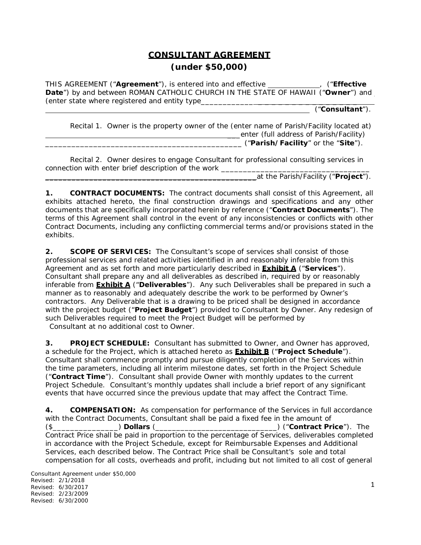# **CONSULTANT AGREEMENT (under \$50,000)**

THIS AGREEMENT ("**Agreement**"), is entered into and effective , ("**Effective Date**") by and between ROMAN CATHOLIC CHURCH IN THE STATE OF HAWAII ("**Owner**") and *(enter state where registered and entity type*\_\_\_\_\_\_\_\_\_\_\_\_ \_\_\_\_\_\_\_\_\_\_\_\_\_\_\_

("**Consultant**").

Recital 1. Owner is the property owner of the *(enter name of Parish/Facility located at)*  \_\_\_enter *(full address of Parish/Facility)*  \_\_\_\_\_\_\_\_\_\_\_\_\_\_\_\_\_\_\_\_\_\_\_\_\_\_\_\_\_\_\_\_\_\_\_\_\_\_\_\_\_\_\_\_\_ ("**Parish/Facility**" or the "**Site**").

Recital 2. Owner desires to engage Consultant for professional consulting services in connection with enter brief description of the work

\_\_\_\_\_\_\_\_\_\_\_\_\_\_\_\_\_\_\_\_\_\_\_\_\_\_\_\_\_\_\_\_\_\_\_\_\_\_\_\_\_\_\_\_\_\_\_\_at the Parish/Facility ("**Project**").

**1. CONTRACT DOCUMENTS:** The contract documents shall consist of this Agreement, all exhibits attached hereto, the final construction drawings and specifications and any other documents that are specifically incorporated herein by reference ("**Contract Documents**"). The terms of this Agreement shall control in the event of any inconsistencies or conflicts with other Contract Documents, including any conflicting commercial terms and/or provisions stated in the exhibits.

**2. SCOPE OF SERVICES:** The Consultant's scope of services shall consist of those professional services and related activities identified in and reasonably inferable from this Agreement and as set forth and more particularly described in **Exhibit A** ("**Services**"). Consultant shall prepare any and all deliverables as described in, required by or reasonably inferable from **Exhibit A** ("**Deliverables**"). Any such Deliverables shall be prepared in such a manner as to reasonably and adequately describe the work to be performed by Owner's contractors. Any Deliverable that is a drawing to be priced shall be designed in accordance with the project budget ("**Project Budget**") provided to Consultant by Owner. Any redesign of such Deliverables required to meet the Project Budget will be performed by Consultant at no additional cost to Owner.

**3. PROJECT SCHEDULE:** Consultant has submitted to Owner, and Owner has approved, a schedule for the Project, which is attached hereto as **Exhibit B** ("**Project Schedule**"). Consultant shall commence promptly and pursue diligently completion of the Services within the time parameters, including all interim milestone dates, set forth in the Project Schedule ("**Contract Time**"). Consultant shall provide Owner with monthly updates to the current Project Schedule. Consultant's monthly updates shall include a brief report of any significant events that have occurred since the previous update that may affect the Contract Time.

**4. COMPENSATION:** As compensation for performance of the Services in full accordance with the Contract Documents, Consultant shall be paid a fixed fee in the amount of (\$\_\_\_\_\_\_\_\_\_\_\_\_\_\_\_) **Dollars** (\_\_\_\_\_\_\_\_\_\_\_\_\_\_\_\_\_\_\_\_\_\_\_\_\_\_\_\_\_) ("**Contract Price**"). The Contract Price shall be paid in proportion to the percentage of Services, deliverables completed in accordance with the Project Schedule, except for Reimbursable Expenses and Additional Services, each described below. The Contract Price shall be Consultant's sole and total compensation for all costs, overheads and profit, including but not limited to all cost of general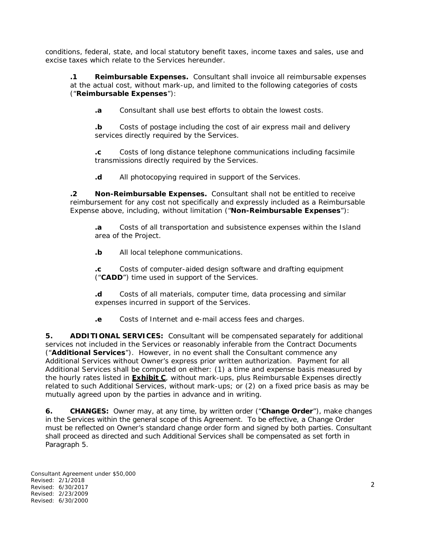conditions, federal, state, and local statutory benefit taxes, income taxes and sales, use and excise taxes which relate to the Services hereunder.

**.1 Reimbursable Expenses.** Consultant shall invoice all reimbursable expenses at the actual cost, without mark-up, and limited to the following categories of costs ("**Reimbursable Expenses**"):

**.a** Consultant shall use best efforts to obtain the lowest costs.

**.b** Costs of postage including the cost of air express mail and delivery services directly required by the Services.

**.c** Costs of long distance telephone communications including facsimile transmissions directly required by the Services.

**.d** All photocopying required in support of the Services.

**.2 Non-Reimbursable Expenses.** Consultant shall not be entitled to receive reimbursement for any cost not specifically and expressly included as a Reimbursable Expense above, including, without limitation ("**Non-Reimbursable Expenses**"):

**.a** Costs of all transportation and subsistence expenses within the Island area of the Project.

**.b** All local telephone communications.

**.c** Costs of computer-aided design software and drafting equipment ("**CADD**") time used in support of the Services.

**.d** Costs of all materials, computer time, data processing and similar expenses incurred in support of the Services.

**.e** Costs of Internet and e-mail access fees and charges.

**5. ADDITIONAL SERVICES:** Consultant will be compensated separately for additional services not included in the Services or reasonably inferable from the Contract Documents ("**Additional Services**"). However, in no event shall the Consultant commence any Additional Services without Owner's express prior written authorization. Payment for all Additional Services shall be computed on either: (1) a time and expense basis measured by the hourly rates listed in **Exhibit C**, without mark-ups, plus Reimbursable Expenses directly related to such Additional Services, without mark-ups; or (2) on a fixed price basis as may be mutually agreed upon by the parties in advance and in writing.

**6. CHANGES:** Owner may, at any time, by written order ("**Change Order**"), make changes in the Services within the general scope of this Agreement. To be effective, a Change Order must be reflected on Owner's standard change order form and signed by both parties. Consultant shall proceed as directed and such Additional Services shall be compensated as set forth in Paragraph 5.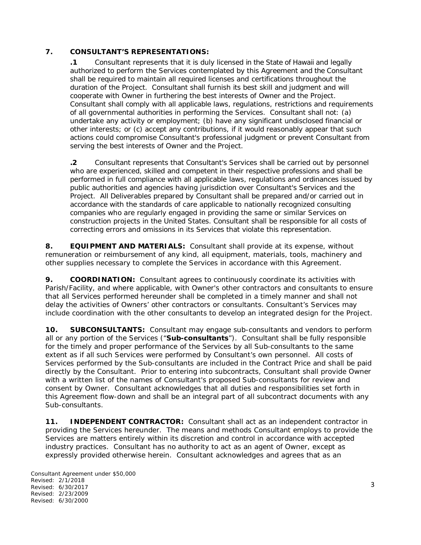### **7. CONSULTANT'S REPRESENTATIONS:**

**.1** Consultant represents that it is duly licensed in the State of Hawaii and legally authorized to perform the Services contemplated by this Agreement and the Consultant shall be required to maintain all required licenses and certifications throughout the duration of the Project. Consultant shall furnish its best skill and judgment and will cooperate with Owner in furthering the best interests of Owner and the Project. Consultant shall comply with all applicable laws, regulations, restrictions and requirements of all governmental authorities in performing the Services. Consultant shall not: (a) undertake any activity or employment; (b) have any significant undisclosed financial or other interests; or (c) accept any contributions, if it would reasonably appear that such actions could compromise Consultant's professional judgment or prevent Consultant from serving the best interests of Owner and the Project.

**.2** Consultant represents that Consultant's Services shall be carried out by personnel who are experienced, skilled and competent in their respective professions and shall be performed in full compliance with all applicable laws, regulations and ordinances issued by public authorities and agencies having jurisdiction over Consultant's Services and the Project. All Deliverables prepared by Consultant shall be prepared and/or carried out in accordance with the standards of care applicable to nationally recognized consulting companies who are regularly engaged in providing the same or similar Services on construction projects in the United States. Consultant shall be responsible for all costs of correcting errors and omissions in its Services that violate this representation.

**8. EQUIPMENT AND MATERIALS:** Consultant shall provide at its expense, without remuneration or reimbursement of any kind, all equipment, materials, tools, machinery and other supplies necessary to complete the Services in accordance with this Agreement.

**9. COORDINATION:** Consultant agrees to continuously coordinate its activities with Parish/Facility, and where applicable, with Owner's other contractors and consultants to ensure that all Services performed hereunder shall be completed in a timely manner and shall not delay the activities of Owners' other contractors or consultants. Consultant's Services may include coordination with the other consultants to develop an integrated design for the Project.

**10. SUBCONSULTANTS:** Consultant may engage sub-consultants and vendors to perform all or any portion of the Services ("**Sub-consultants**"). Consultant shall be fully responsible for the timely and proper performance of the Services by all Sub-consultants to the same extent as if all such Services were performed by Consultant's own personnel. All costs of Services performed by the Sub-consultants are included in the Contract Price and shall be paid directly by the Consultant. Prior to entering into subcontracts, Consultant shall provide Owner with a written list of the names of Consultant's proposed Sub-consultants for review and consent by Owner. Consultant acknowledges that all duties and responsibilities set forth in this Agreement flow-down and shall be an integral part of all subcontract documents with any Sub-consultants.

**11. INDEPENDENT CONTRACTOR:** Consultant shall act as an independent contractor in providing the Services hereunder. The means and methods Consultant employs to provide the Services are matters entirely within its discretion and control in accordance with accepted industry practices. Consultant has no authority to act as an agent of Owner, except as expressly provided otherwise herein. Consultant acknowledges and agrees that as an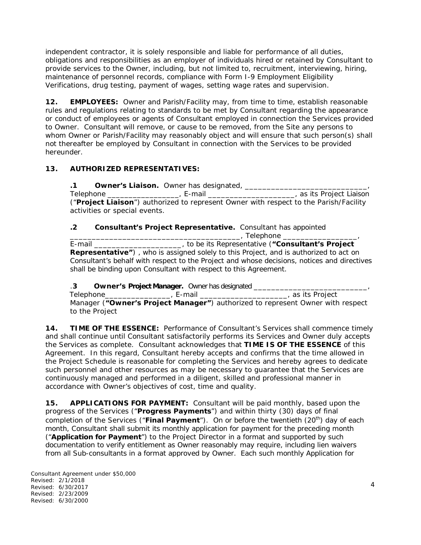independent contractor, it is solely responsible and liable for performance of all duties, obligations and responsibilities as an employer of individuals hired or retained by Consultant to provide services to the Owner, including, but not limited to, recruitment, interviewing, hiring, maintenance of personnel records, compliance with Form I-9 Employment Eligibility Verifications, drug testing, payment of wages, setting wage rates and supervision.

**12. EMPLOYEES:** Owner and Parish/Facility may, from time to time, establish reasonable rules and regulations relating to standards to be met by Consultant regarding the appearance or conduct of employees or agents of Consultant employed in connection the Services provided to Owner. Consultant will remove, or cause to be removed, from the Site any persons to whom Owner or Parish/Facility may reasonably object and will ensure that such person(s) shall not thereafter be employed by Consultant in connection with the Services to be provided hereunder.

### **13. AUTHORIZED REPRESENTATIVES:**

**.1 Owner's Liaison.** Owner has designated, \_\_\_\_\_\_\_\_\_\_\_\_\_\_\_\_\_\_\_\_\_\_\_\_\_\_\_\_, Telephone \_\_\_\_\_\_\_\_\_\_\_\_\_\_\_\_\_\_\_\_, E-mail \_\_\_\_\_\_\_\_\_\_\_\_\_\_\_\_\_\_\_\_\_\_\_\_, as its Project Liaison ("**Project Liaison**") authorized to represent Owner with respect to the Parish/Facility activities or special events.

### **.2 Consultant's Project Representative.** Consultant has appointed

\_\_\_\_\_\_\_\_\_\_\_\_\_\_\_\_\_\_\_\_\_\_\_\_\_\_\_\_\_\_\_\_\_\_\_\_\_\_\_, Telephone \_\_\_\_\_\_\_\_\_\_\_\_\_\_\_\_\_, E-mail \_\_\_\_\_\_\_\_\_\_\_\_\_\_\_\_\_\_\_\_ , to be its Representative (**"Consultant's Project Representative"**) , who is assigned solely to this Project, and is authorized to act on Consultant's behalf with respect to the Project and whose decisions, notices and directives shall be binding upon Consultant with respect to this Agreement.

.**3 Owner's Project Manager.** Owner has designated \_\_\_\_\_\_\_\_\_\_\_\_\_\_\_\_\_\_\_\_\_\_\_\_\_\_, Telephone\_\_\_\_\_\_\_\_\_\_\_\_\_\_\_, E-mail \_\_\_\_\_\_\_\_\_\_\_\_\_\_\_\_\_\_\_\_, as its Project

Manager (**"Owner's Project Manager"**) authorized to represent Owner with respect to the Project

**14. TIME OF THE ESSENCE:** Performance of Consultant's Services shall commence timely and shall continue until Consultant satisfactorily performs its Services and Owner duly accepts the Services as complete. Consultant acknowledges that **TIME IS OF THE ESSENCE** of this Agreement. In this regard, Consultant hereby accepts and confirms that the time allowed in the Project Schedule is reasonable for completing the Services and hereby agrees to dedicate such personnel and other resources as may be necessary to guarantee that the Services are continuously managed and performed in a diligent, skilled and professional manner in accordance with Owner's objectives of cost, time and quality.

**15. APPLICATIONS FOR PAYMENT:** Consultant will be paid monthly, based upon the progress of the Services ("**Progress Payments**") and within thirty (30) days of final completion of the Services ("Final Payment"). On or before the twentieth (20<sup>th</sup>) day of each month, Consultant shall submit its monthly application for payment for the preceding month ("**Application for Payment**") to the Project Director in a format and supported by such documentation to verify entitlement as Owner reasonably may require, including lien waivers from all Sub-consultants in a format approved by Owner. Each such monthly Application for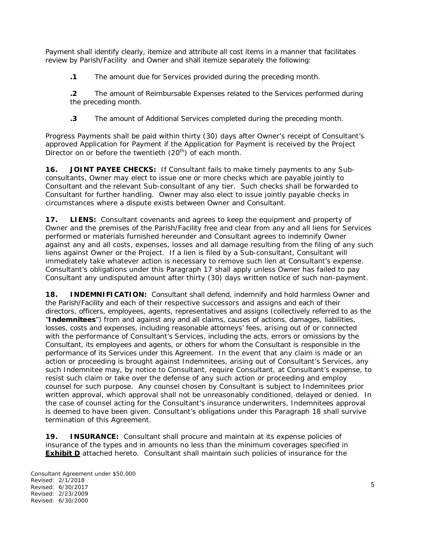Payment shall identify clearly, itemize and attribute all cost items in a manner that facilitates review by Parish/Facility and Owner and shall itemize separately the following:

**.1** The amount due for Services provided during the preceding month.

**.2** The amount of Reimbursable Expenses related to the Services performed during the preceding month.

**.3** The amount of Additional Services completed during the preceding month.

Progress Payments shall be paid within thirty (30) days after Owner's receipt of Consultant's approved Application for Payment if the Application for Payment is received by the Project Director on or before the twentieth  $(20<sup>th</sup>)$  of each month.

**16. JOINT PAYEE CHECKS:** If Consultant fails to make timely payments to any Subconsultants, Owner may elect to issue one or more checks which are payable jointly to Consultant and the relevant Sub-consultant of any tier. Such checks shall be forwarded to Consultant for further handling. Owner may also elect to issue jointly payable checks in circumstances where a dispute exists between Owner and Consultant.

**17. LIENS:** Consultant covenants and agrees to keep the equipment and property of Owner and the premises of the Parish/Facility free and clear from any and all liens for Services performed or materials furnished hereunder and Consultant agrees to indemnify Owner against any and all costs, expenses, losses and all damage resulting from the filing of any such liens against Owner or the Project. If a lien is filed by a Sub-consultant, Consultant will immediately take whatever action is necessary to remove such lien at Consultant's expense. Consultant's obligations under this Paragraph 17 shall apply unless Owner has failed to pay Consultant any undisputed amount after thirty (30) days written notice of such non-payment.

**18. INDEMNIFICATION:** Consultant shall defend, indemnify and hold harmless Owner and the Parish/Facility and each of their respective successors and assigns and each of their directors, officers, employees, agents, representatives and assigns (collectively referred to as the "**Indemnitees**") from and against any and all claims, causes of actions, damages, liabilities, losses, costs and expenses, including reasonable attorneys' fees, arising out of or connected with the performance of Consultant's Services, including the acts, errors or omissions by the Consultant, its employees and agents, or others for whom the Consultant is responsible in the performance of its Services under this Agreement. In the event that any claim is made or an action or proceeding is brought against Indemnitees, arising out of Consultant's Services, any such Indemnitee may, by notice to Consultant, require Consultant, at Consultant's expense, to resist such claim or take over the defense of any such action or proceeding and employ counsel for such purpose. Any counsel chosen by Consultant is subject to Indemnitees prior written approval, which approval shall not be unreasonably conditioned, delayed or denied. In the case of counsel acting for the Consultant's insurance underwriters, Indemnitees approval is deemed to have been given. Consultant's obligations under this Paragraph 18 shall survive termination of this Agreement.

**19. INSURANCE:** Consultant shall procure and maintain at its expense policies of insurance of the types and in amounts no less than the minimum coverages specified in **Exhibit D** attached hereto. Consultant shall maintain such policies of insurance for the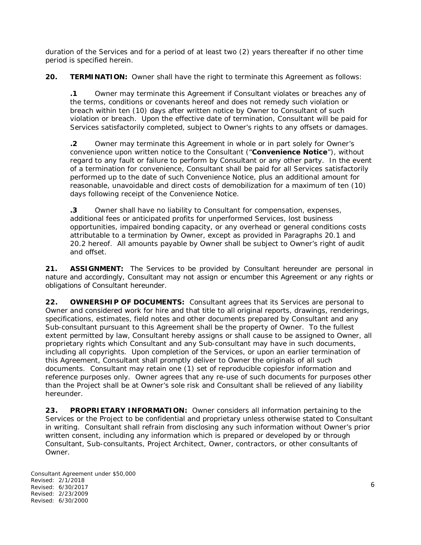duration of the Services and for a period of at least two (2) years thereafter if no other time period is specified herein.

**20. TERMINATION:** Owner shall have the right to terminate this Agreement as follows:

**.1** Owner may terminate this Agreement if Consultant violates or breaches any of the terms, conditions or covenants hereof and does not remedy such violation or breach within ten (10) days after written notice by Owner to Consultant of such violation or breach. Upon the effective date of termination, Consultant will be paid for Services satisfactorily completed, subject to Owner's rights to any offsets or damages.

**.2** Owner may terminate this Agreement in whole or in part solely for Owner's convenience upon written notice to the Consultant ("**Convenience Notice**"), without regard to any fault or failure to perform by Consultant or any other party. In the event of a termination for convenience, Consultant shall be paid for all Services satisfactorily performed up to the date of such Convenience Notice, plus an additional amount for reasonable, unavoidable and direct costs of demobilization for a maximum of ten (10) days following receipt of the Convenience Notice.

**.3** Owner shall have no liability to Consultant for compensation, expenses, additional fees or anticipated profits for unperformed Services, lost business opportunities, impaired bonding capacity, or any overhead or general conditions costs attributable to a termination by Owner, except as provided in Paragraphs 20.1 and 20.2 hereof. All amounts payable by Owner shall be subject to Owner's right of audit and offset.

**21. ASSIGNMENT:** The Services to be provided by Consultant hereunder are personal in nature and accordingly, Consultant may not assign or encumber this Agreement or any rights or obligations of Consultant hereunder.

**22. OWNERSHIP OF DOCUMENTS:** Consultant agrees that its Services are personal to Owner and considered work for hire and that title to all original reports, drawings, renderings, specifications, estimates, field notes and other documents prepared by Consultant and any Sub-consultant pursuant to this Agreement shall be the property of Owner. To the fullest extent permitted by law, Consultant hereby assigns or shall cause to be assigned to Owner, all proprietary rights which Consultant and any Sub-consultant may have in such documents, including all copyrights. Upon completion of the Services, or upon an earlier termination of this Agreement, Consultant shall promptly deliver to Owner the originals of all such documents. Consultant may retain one (1) set of reproducible copiesfor information and reference purposes only. Owner agrees that any re-use of such documents for purposes other than the Project shall be at Owner's sole risk and Consultant shall be relieved of any liability hereunder.

**23. PROPRIETARY INFORMATION:** Owner considers all information pertaining to the Services or the Project to be confidential and proprietary unless otherwise stated to Consultant in writing. Consultant shall refrain from disclosing any such information without Owner's prior written consent, including any information which is prepared or developed by or through Consultant, Sub-consultants, Project Architect, Owner, contractors, or other consultants of Owner.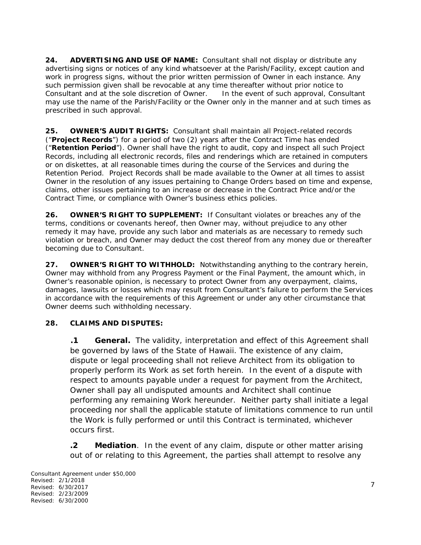**24. ADVERTISING AND USE OF NAME:** Consultant shall not display or distribute any advertising signs or notices of any kind whatsoever at the Parish/Facility, except caution and work in progress signs, without the prior written permission of Owner in each instance. Any such permission given shall be revocable at any time thereafter without prior notice to Consultant and at the sole discretion of Owner. In the event of such approval, Consultant may use the name of the Parish/Facility or the Owner only in the manner and at such times as prescribed in such approval.

**25. OWNER'S AUDIT RIGHTS:** Consultant shall maintain all Project-related records ("**Project Records**") for a period of two (2) years after the Contract Time has ended ("**Retention Period**"). Owner shall have the right to audit, copy and inspect all such Project Records, including all electronic records, files and renderings which are retained in computers or on diskettes, at all reasonable times during the course of the Services and during the Retention Period. Project Records shall be made available to the Owner at all times to assist Owner in the resolution of any issues pertaining to Change Orders based on time and expense, claims, other issues pertaining to an increase or decrease in the Contract Price and/or the Contract Time, or compliance with Owner's business ethics policies.

**26. OWNER'S RIGHT TO SUPPLEMENT:** If Consultant violates or breaches any of the terms, conditions or covenants hereof, then Owner may, without prejudice to any other remedy it may have, provide any such labor and materials as are necessary to remedy such violation or breach, and Owner may deduct the cost thereof from any money due or thereafter becoming due to Consultant.

**27. OWNER'S RIGHT TO WITHHOLD:** Notwithstanding anything to the contrary herein, Owner may withhold from any Progress Payment or the Final Payment, the amount which, in Owner's reasonable opinion, is necessary to protect Owner from any overpayment, claims, damages, lawsuits or losses which may result from Consultant's failure to perform the Services in accordance with the requirements of this Agreement or under any other circumstance that Owner deems such withholding necessary.

## **28. CLAIMS AND DISPUTES:**

**.1 General.** The validity, interpretation and effect of this Agreement shall be governed by laws of the State of Hawaii. The existence of any claim, dispute or legal proceeding shall not relieve Architect from its obligation to properly perform its Work as set forth herein. In the event of a dispute with respect to amounts payable under a request for payment from the Architect, Owner shall pay all undisputed amounts and Architect shall continue performing any remaining Work hereunder. Neither party shall initiate a legal proceeding nor shall the applicable statute of limitations commence to run until the Work is fully performed or until this Contract is terminated, whichever occurs first.

**.2 Mediation**. In the event of any claim, dispute or other matter arising out of or relating to this Agreement, the parties shall attempt to resolve any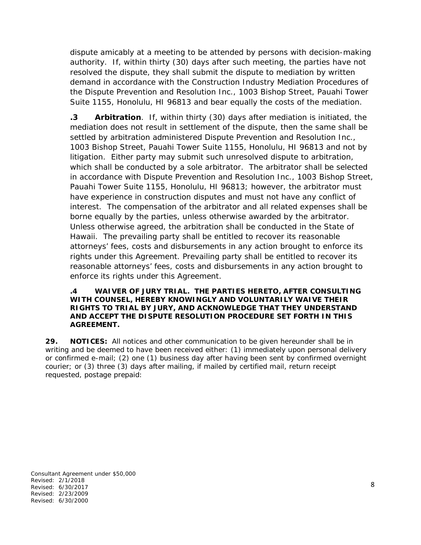dispute amicably at a meeting to be attended by persons with decision-making authority. If, within thirty (30) days after such meeting, the parties have not resolved the dispute, they shall submit the dispute to mediation by written demand in accordance with the Construction Industry Mediation Procedures of the Dispute Prevention and Resolution Inc., 1003 Bishop Street, Pauahi Tower Suite 1155, Honolulu, HI 96813 and bear equally the costs of the mediation.

**.3 Arbitration**. If, within thirty (30) days after mediation is initiated, the mediation does not result in settlement of the dispute, then the same shall be settled by arbitration administered Dispute Prevention and Resolution Inc., 1003 Bishop Street, Pauahi Tower Suite 1155, Honolulu, HI 96813 and not by litigation. Either party may submit such unresolved dispute to arbitration, which shall be conducted by a sole arbitrator. The arbitrator shall be selected in accordance with Dispute Prevention and Resolution Inc., 1003 Bishop Street, Pauahi Tower Suite 1155, Honolulu, HI 96813; however, the arbitrator must have experience in construction disputes and must not have any conflict of interest. The compensation of the arbitrator and all related expenses shall be borne equally by the parties, unless otherwise awarded by the arbitrator. Unless otherwise agreed, the arbitration shall be conducted in the State of Hawaii. The prevailing party shall be entitled to recover its reasonable attorneys' fees, costs and disbursements in any action brought to enforce its rights under this Agreement. Prevailing party shall be entitled to recover its reasonable attorneys' fees, costs and disbursements in any action brought to enforce its rights under this Agreement.

#### **.4 WAIVER OF JURY TRIAL. THE PARTIES HERETO, AFTER CONSULTING WITH COUNSEL, HEREBY KNOWINGLY AND VOLUNTARILY WAIVE THEIR RIGHTS TO TRIAL BY JURY, AND ACKNOWLEDGE THAT THEY UNDERSTAND AND ACCEPT THE DISPUTE RESOLUTION PROCEDURE SET FORTH IN THIS AGREEMENT.**

**29. NOTICES:** All notices and other communication to be given hereunder shall be in writing and be deemed to have been received either: (1) immediately upon personal delivery or confirmed e-mail; (2) one (1) business day after having been sent by confirmed overnight courier; or (3) three (3) days after mailing, if mailed by certified mail, return receipt requested, postage prepaid: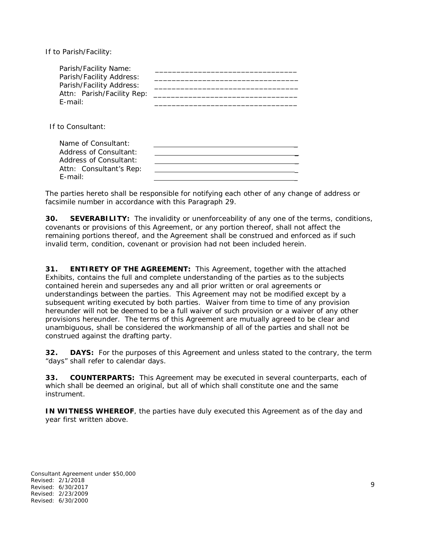If to Parish/Facility:

| Parish/Facility Name:<br>Parish/Facility Address:<br>Parish/Facility Address:<br>Attn: Parish/Facility Rep:<br>$F$ -mail: |  |
|---------------------------------------------------------------------------------------------------------------------------|--|
| If to Consultant:                                                                                                         |  |
| Name of Consultant:<br>Address of Consultant:<br>Address of Consultant:<br>Attn: Consultant's Rep:<br>$F$ -mail:          |  |

The parties hereto shall be responsible for notifying each other of any change of address or facsimile number in accordance with this Paragraph 29.

**30. SEVERABILITY:** The invalidity or unenforceability of any one of the terms, conditions, covenants or provisions of this Agreement, or any portion thereof, shall not affect the remaining portions thereof, and the Agreement shall be construed and enforced as if such invalid term, condition, covenant or provision had not been included herein.

**31. ENTIRETY OF THE AGREEMENT:** This Agreement, together with the attached Exhibits, contains the full and complete understanding of the parties as to the subjects contained herein and supersedes any and all prior written or oral agreements or understandings between the parties. This Agreement may not be modified except by a subsequent writing executed by both parties. Waiver from time to time of any provision hereunder will not be deemed to be a full waiver of such provision or a waiver of any other provisions hereunder. The terms of this Agreement are mutually agreed to be clear and unambiguous, shall be considered the workmanship of all of the parties and shall not be construed against the drafting party.

**32. DAYS:** For the purposes of this Agreement and unless stated to the contrary, the term "days" shall refer to calendar days.

**33. COUNTERPARTS:** This Agreement may be executed in several counterparts, each of which shall be deemed an original, but all of which shall constitute one and the same instrument.

**IN WITNESS WHEREOF**, the parties have duly executed this Agreement as of the day and year first written above.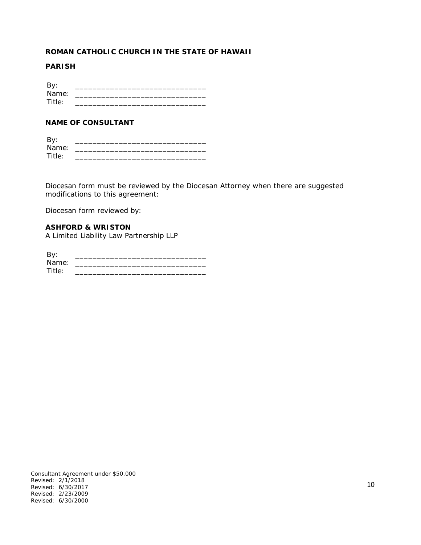#### **ROMAN CATHOLIC CHURCH IN THE STATE OF HAWAII**

#### **PARISH**

| By:    |  |
|--------|--|
| Name:  |  |
| Title: |  |

### **NAME OF CONSULTANT**

| By:    |  |
|--------|--|
| Name:  |  |
| Title: |  |

Diocesan form must be reviewed by the Diocesan Attorney when there are suggested modifications to this agreement:

Diocesan form reviewed by:

**ASHFORD & WRISTON** A Limited Liability Law Partnership LLP

| Name:  |  |
|--------|--|
| Title: |  |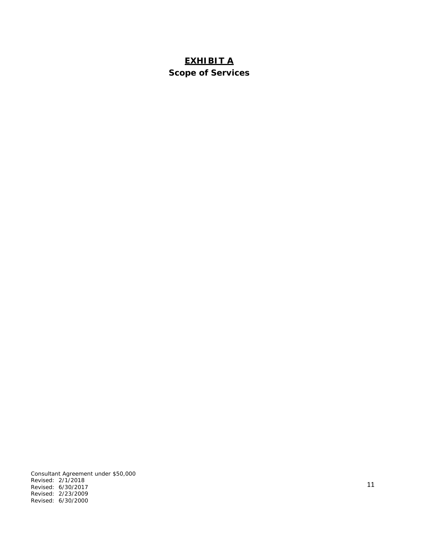# **EXHIBIT A Scope of Services**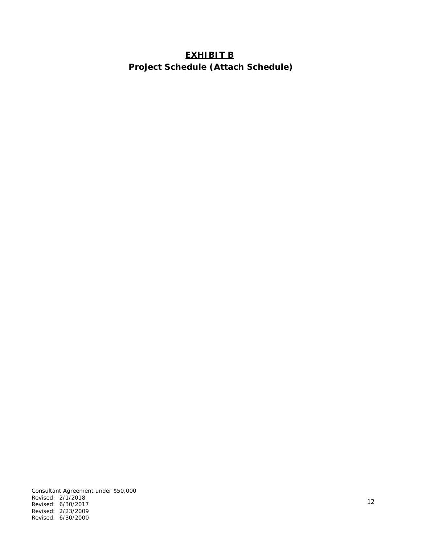# **EXHIBIT B**

 **Project Schedule (Attach Schedule)**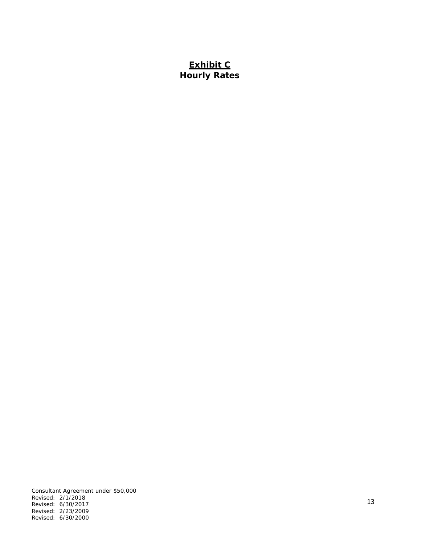# **Exhibit C Hourly Rates**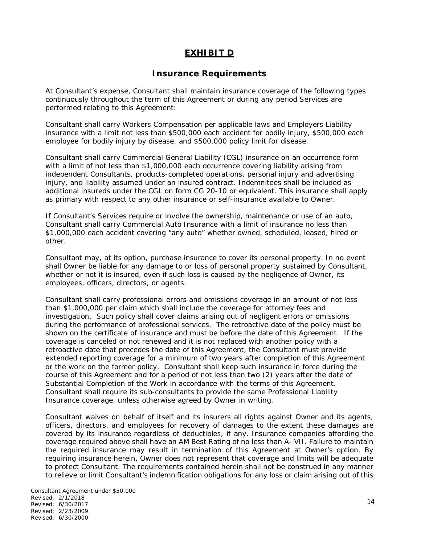## **EXHIBIT D**

### **Insurance Requirements**

At Consultant's expense, Consultant shall maintain insurance coverage of the following types continuously throughout the term of this Agreement or during any period Services are performed relating to this Agreement:

Consultant shall carry Workers Compensation per applicable laws and Employers Liability insurance with a limit not less than \$500,000 each accident for bodily injury, \$500,000 each employee for bodily injury by disease, and \$500,000 policy limit for disease.

Consultant shall carry Commercial General Liability (CGL) insurance on an occurrence form with a limit of not less than \$1,000,000 each occurrence covering liability arising from independent Consultants, products-completed operations, personal injury and advertising injury, and liability assumed under an insured contract. Indemnitees shall be included as additional insureds under the CGL on form CG 20-10 or equivalent. This insurance shall apply as primary with respect to any other insurance or self-insurance available to Owner.

If Consultant's Services require or involve the ownership, maintenance or use of an auto, Consultant shall carry Commercial Auto Insurance with a limit of insurance no less than \$1,000,000 each accident covering "any auto" whether owned, scheduled, leased, hired or other.

Consultant may, at its option, purchase insurance to cover its personal property. In no event shall Owner be liable for any damage to or loss of personal property sustained by Consultant, whether or not it is insured, even if such loss is caused by the negligence of Owner, its employees, officers, directors, or agents.

Consultant shall carry professional errors and omissions coverage in an amount of not less than \$1,000,000 per claim which shall include the coverage for attorney fees and investigation. Such policy shall cover claims arising out of negligent errors or omissions during the performance of professional services. The retroactive date of the policy must be shown on the certificate of insurance and must be before the date of this Agreement. If the coverage is canceled or not renewed and it is not replaced with another policy with a retroactive date that precedes the date of this Agreement, the Consultant must provide extended reporting coverage for a minimum of two years after completion of this Agreement or the work on the former policy. Consultant shall keep such insurance in force during the course of this Agreement and for a period of not less than two (2) years after the date of Substantial Completion of the Work in accordance with the terms of this Agreement. Consultant shall require its sub-consultants to provide the same Professional Liability Insurance coverage, unless otherwise agreed by Owner in writing.

Consultant waives on behalf of itself and its insurers all rights against Owner and its agents, officers, directors, and employees for recovery of damages to the extent these damages are covered by its insurance regardless of deductibles, if any. Insurance companies affording the coverage required above shall have an AM Best Rating of no less than A- VII. Failure to maintain the required insurance may result in termination of this Agreement at Owner's option. By requiring insurance herein, Owner does not represent that coverage and limits will be adequate to protect Consultant. The requirements contained herein shall not be construed in any manner to relieve or limit Consultant's indemnification obligations for any loss or claim arising out of this